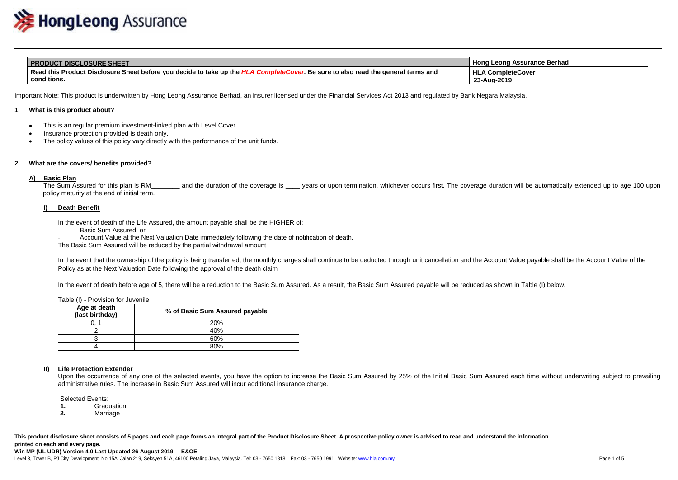

| <b>I PRODUCT DISCLOSURE SHEET</b>                                                                                                   | च Hong Leong Assurance Berhad |
|-------------------------------------------------------------------------------------------------------------------------------------|-------------------------------|
| ad this Product Disclosure Sheet before you decide to take up the <i>H'</i><br>Read<br>. Be sure to also read the general terms and | <b>HLA CompleteCover</b>      |
| conditions.                                                                                                                         | 23-Aug-2019                   |

Important Note: This product is underwritten by Hong Leong Assurance Berhad, an insurer licensed under the Financial Services Act 2013 and regulated by Bank Negara Malaysia.

#### **1. What is this product about?**

- This is an regular premium investment-linked plan with Level Cover.
- Insurance protection provided is death only.
- The policy values of this policy vary directly with the performance of the unit funds.

#### **2. What are the covers/ benefits provided?**

#### **A) Basic Plan**

The Sum Assured for this plan is RM and the duration of the coverage is years or upon termination, whichever occurs first. The coverage duration will be automatically extended up to age 100 upon policy maturity at the end of initial term.

#### **I) Death Benefit**

In the event of death of the Life Assured, the amount payable shall be the HIGHER of:

- Basic Sum Assured; or
- Account Value at the Next Valuation Date immediately following the date of notification of death.

The Basic Sum Assured will be reduced by the partial withdrawal amount

In the event that the ownership of the policy is being transferred, the monthly charges shall continue to be deducted through unit cancellation and the Account Value payable shall be the Account Value of the Policy as at the Next Valuation Date following the approval of the death claim

In the event of death before age of 5, there will be a reduction to the Basic Sum Assured. As a result, the Basic Sum Assured payable will be reduced as shown in Table (I) below.

Table (I) - Provision for Juvenile

| Age at death<br>(last birthday) | % of Basic Sum Assured payable |  |
|---------------------------------|--------------------------------|--|
|                                 | 20%                            |  |
|                                 | 40%                            |  |
|                                 | 60%                            |  |
|                                 | 80%                            |  |

#### **II) Life Protection Extender**

Upon the occurrence of any one of the selected events, you have the option to increase the Basic Sum Assured by 25% of the Initial Basic Sum Assured each time without underwriting subject to prevailing administrative rules. The increase in Basic Sum Assured will incur additional insurance charge.

Selected Events:

- **1.** Graduation
- **2.** Marriage

**This product disclosure sheet consists of 5 pages and each page forms an integral part of the Product Disclosure Sheet. A prospective policy owner is advised to read and understand the information printed on each and every page.**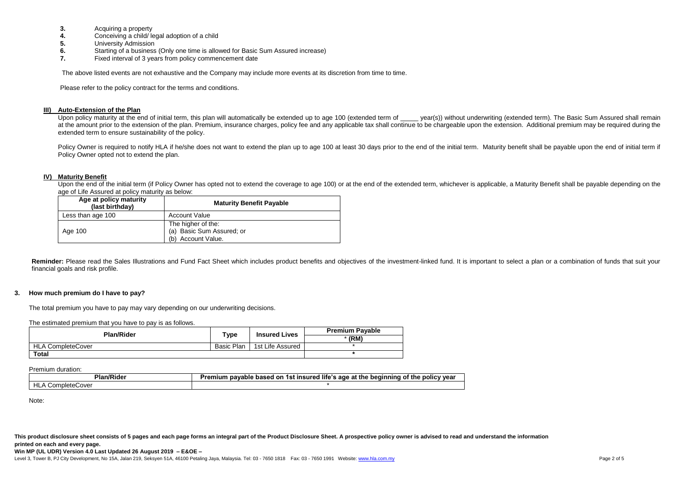- **3.** Acquiring a property<br>**4.** Conceiving a child/le
- **4.** Conceiving a child/ legal adoption of a child
- **5.** University Admission
- **6.** Starting of a business (Only one time is allowed for Basic Sum Assured increase)<br>**7.** Eixed interval of 3 years from policy commencement date
- Fixed interval of 3 years from policy commencement date

The above listed events are not exhaustive and the Company may include more events at its discretion from time to time.

Please refer to the policy contract for the terms and conditions.

#### **III) Auto-Extension of the Plan**

Upon policy maturity at the end of initial term, this plan will automatically be extended up to age 100 (extended term of vear(s)) without underwriting (extended term). The Basic Sum Assured shall remain at the amount prior to the extension of the plan. Premium, insurance charges, policy fee and any applicable tax shall continue to be chargeable upon the extension. Additional premium may be required during the extended term to ensure sustainability of the policy.

Policy Owner is required to notify HLA if he/she does not want to extend the plan up to age 100 at least 30 days prior to the end of the initial term. Maturity benefit shall be payable upon the end of initial term if Policy Owner opted not to extend the plan.

#### **IV) Maturity Benefit**

Upon the end of the initial term (if Policy Owner has opted not to extend the coverage to age 100) or at the end of the extended term, whichever is applicable, a Maturity Benefit shall be payable depending on the age of Life Assured at policy maturity as below:

| Age at policy maturity<br>(last birthday) | <b>Maturity Benefit Payable</b>                                       |  |
|-------------------------------------------|-----------------------------------------------------------------------|--|
| Less than age 100                         | <b>Account Value</b>                                                  |  |
| Age 100                                   | The higher of the:<br>(a) Basic Sum Assured; or<br>(b) Account Value. |  |

Reminder: Please read the Sales Illustrations and Fund Fact Sheet which includes product benefits and objectives of the investment-linked fund. It is important to select a plan or a combination of funds that suit your financial goals and risk profile.

#### **3. How much premium do I have to pay?**

The total premium you have to pay may vary depending on our underwriting decisions.

The estimated premium that you have to pay is as follows.

| <b>Plan/Rider</b><br>$T$ ype | <b>Insured Lives</b> | <b>Premium Pavable</b> |          |
|------------------------------|----------------------|------------------------|----------|
|                              |                      |                        | $*$ (RM) |
| <b>HLA CompleteCover</b>     | Basic Plan           | 1st Life Assured       |          |
| <b>Total</b>                 |                      |                        |          |

Premium duration:

| $\sim$<br>Plan/Rid∈                             | .<br>policy year<br>t insured.<br>'s age<br>. lite:<br>, at the beginning<br>. amlum n<br>Ωn<br>.<br>based<br>pavable<br>161<br>tne |
|-------------------------------------------------|-------------------------------------------------------------------------------------------------------------------------------------|
| HL<br>eCover<br>$-1$<br>Complet<br>$\mathbf{u}$ |                                                                                                                                     |

Note:

**This product disclosure sheet consists of 5 pages and each page forms an integral part of the Product Disclosure Sheet. A prospective policy owner is advised to read and understand the information printed on each and every page.**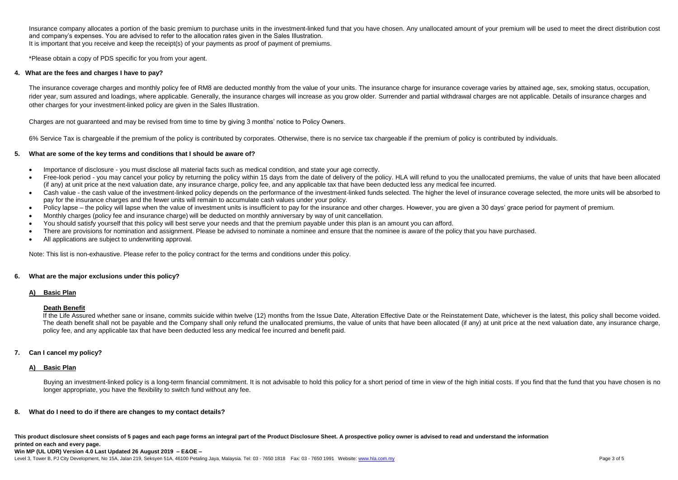Insurance company allocates a portion of the basic premium to purchase units in the investment-linked fund that you have chosen. Any unallocated amount of your premium will be used to meet the direct distribution cost and company's expenses. You are advised to refer to the allocation rates given in the Sales Illustration. It is important that you receive and keep the receipt(s) of your payments as proof of payment of premiums.

\*Please obtain a copy of PDS specific for you from your agent.

#### **4. What are the fees and charges I have to pay?**

The insurance coverage charges and monthly policy fee of RM8 are deducted monthly from the value of your units. The insurance charge for insurance coverage varies by attained age, sex, smoking status, occupation, rider year, sum assured and loadings, where applicable. Generally, the insurance charges will increase as you grow older. Surrender and partial withdrawal charges are not applicable. Details of insurance charges and other charges for your investment-linked policy are given in the Sales Illustration.

Charges are not guaranteed and may be revised from time to time by giving 3 months' notice to Policy Owners.

6% Service Tax is chargeable if the premium of the policy is contributed by corporates. Otherwise, there is no service tax chargeable if the premium of policy is contributed by individuals.

#### **5. What are some of the key terms and conditions that I should be aware of?**

- Importance of disclosure you must disclose all material facts such as medical condition, and state your age correctly.
- Free-look period you may cancel your policy by returning the policy within 15 days from the date of delivery of the policy. HLA will refund to you the unallocated premiums, the value of units that have been allocated (if any) at unit price at the next valuation date, any insurance charge, policy fee, and any applicable tax that have been deducted less any medical fee incurred.
- Cash value the cash value of the investment-linked policy depends on the performance of the investment-linked funds selected. The higher the level of insurance coverage selected, the more units will be absorbed to pay for the insurance charges and the fewer units will remain to accumulate cash values under your policy.
- Policy lapse the policy will lapse when the value of investment units is insufficient to pay for the insurance and other charges. However, you are given a 30 days' grace period for payment of premium.
- Monthly charges (policy fee and insurance charge) will be deducted on monthly anniversary by way of unit cancellation.
- You should satisfy yourself that this policy will best serve your needs and that the premium payable under this plan is an amount you can afford.
- There are provisions for nomination and assignment. Please be advised to nominate a nominee and ensure that the nominee is aware of the policy that you have purchased.
- All applications are subject to underwriting approval.

Note: This list is non-exhaustive. Please refer to the policy contract for the terms and conditions under this policy.

#### **6. What are the major exclusions under this policy?**

#### **A) Basic Plan**

#### **Death Benefit**

If the Life Assured whether sane or insane, commits suicide within twelve (12) months from the Issue Date, Alteration Effective Date or the Reinstatement Date, whichever is the latest, this policy shall become voided. The death benefit shall not be payable and the Company shall only refund the unallocated premiums, the value of units that have been allocated (if any) at unit price at the next valuation date, any insurance charge, policy fee, and any applicable tax that have been deducted less any medical fee incurred and benefit paid.

#### **7. Can I cancel my policy?**

#### **A) Basic Plan**

Buying an investment-linked policy is a long-term financial commitment. It is not advisable to hold this policy for a short period of time in view of the high initial costs. If you find that the fund that you have chosen i longer appropriate, you have the flexibility to switch fund without any fee.

#### **8. What do I need to do if there are changes to my contact details?**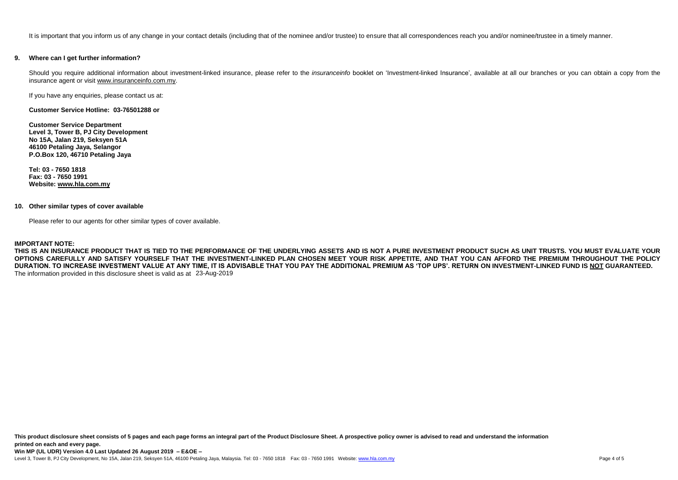It is important that you inform us of any change in your contact details (including that of the nominee and/or trustee) to ensure that all correspondences reach you and/or nominee/trustee in a timely manner.

#### **9. Where can I get further information?**

Should you require additional information about investment-linked insurance, please refer to the *insuranceinfo* booklet on 'Investment-linked Insurance', available at all our branches or you can obtain a copy from the insurance agent or visi[t www.insuranceinfo.com.my.](http://www.insuranceinfo.com.my/)

If you have any enquiries, please contact us at:

**Customer Service Hotline: 03-76501288 or**

**Customer Service Department Level 3, Tower B, PJ City Development No 15A, Jalan 219, Seksyen 51A 46100 Petaling Jaya, Selangor P.O.Box 120, 46710 Petaling Jaya**

**Tel: 03 - 7650 1818 Fax: 03 - 7650 1991 Website[: www.hla.com.my](http://www.hla.com.my/)**

#### **10. Other similar types of cover available**

Please refer to our agents for other similar types of cover available.

#### **IMPORTANT NOTE:**

**THIS IS AN INSURANCE PRODUCT THAT IS TIED TO THE PERFORMANCE OF THE UNDERLYING ASSETS AND IS NOT A PURE INVESTMENT PRODUCT SUCH AS UNIT TRUSTS. YOU MUST EVALUATE YOUR OPTIONS CAREFULLY AND SATISFY YOURSELF THAT THE INVESTMENT-LINKED PLAN CHOSEN MEET YOUR RISK APPETITE, AND THAT YOU CAN AFFORD THE PREMIUM THROUGHOUT THE POLICY DURATION. TO INCREASE INVESTMENT VALUE AT ANY TIME, IT IS ADVISABLE THAT YOU PAY THE ADDITIONAL PREMIUM AS 'TOP UPS'. RETURN ON INVESTMENT-LINKED FUND IS NOT GUARANTEED.**  The information provided in this disclosure sheet is valid as at 23-Aug-2019

**This product disclosure sheet consists of 5 pages and each page forms an integral part of the Product Disclosure Sheet. A prospective policy owner is advised to read and understand the information printed on each and every page.**